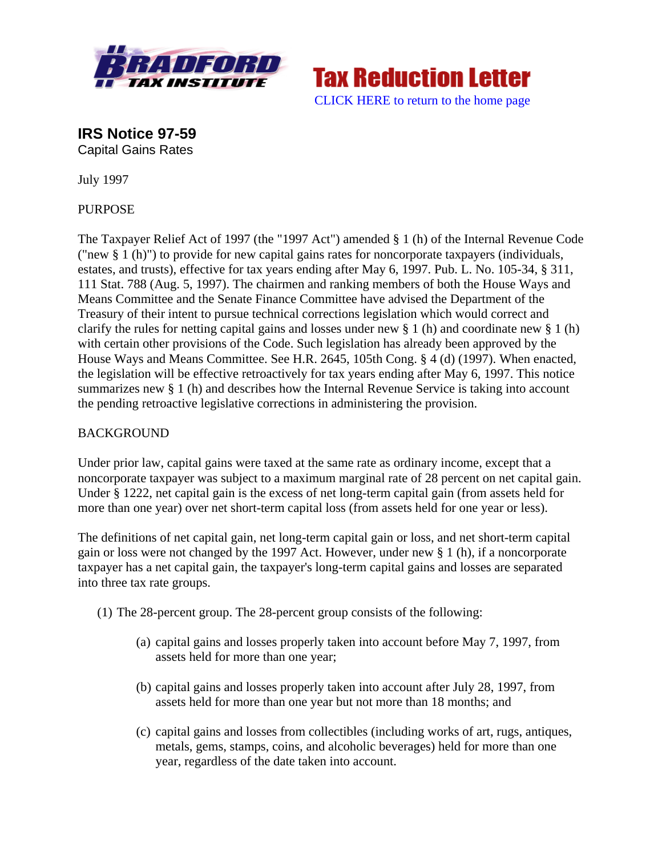



**IRS Notice 97-59**  Capital Gains Rates

July 1997

PURPOSE

The Taxpayer Relief Act of 1997 (the "1997 Act") amended § 1 (h) of the Internal Revenue Code ("new § 1 (h)") to provide for new capital gains rates for noncorporate taxpayers (individuals, estates, and trusts), effective for tax years ending after May 6, 1997. Pub. L. No. 105-34, § 311, 111 Stat. 788 (Aug. 5, 1997). The chairmen and ranking members of both the House Ways and Means Committee and the Senate Finance Committee have advised the Department of the Treasury of their intent to pursue technical corrections legislation which would correct and clarify the rules for netting capital gains and losses under new § 1 (h) and coordinate new § 1 (h) with certain other provisions of the Code. Such legislation has already been approved by the House Ways and Means Committee. See H.R. 2645, 105th Cong. § 4 (d) (1997). When enacted, the legislation will be effective retroactively for tax years ending after May 6, 1997. This notice summarizes new § 1 (h) and describes how the Internal Revenue Service is taking into account the pending retroactive legislative corrections in administering the provision.

## BACKGROUND

Under prior law, capital gains were taxed at the same rate as ordinary income, except that a noncorporate taxpayer was subject to a maximum marginal rate of 28 percent on net capital gain. Under § 1222, net capital gain is the excess of net long-term capital gain (from assets held for more than one year) over net short-term capital loss (from assets held for one year or less).

The definitions of net capital gain, net long-term capital gain or loss, and net short-term capital gain or loss were not changed by the 1997 Act. However, under new § 1 (h), if a noncorporate taxpayer has a net capital gain, the taxpayer's long-term capital gains and losses are separated into three tax rate groups.

- (1) The 28-percent group. The 28-percent group consists of the following:
	- (a) capital gains and losses properly taken into account before May 7, 1997, from assets held for more than one year;
	- (b) capital gains and losses properly taken into account after July 28, 1997, from assets held for more than one year but not more than 18 months; and
	- (c) capital gains and losses from collectibles (including works of art, rugs, antiques, metals, gems, stamps, coins, and alcoholic beverages) held for more than one year, regardless of the date taken into account.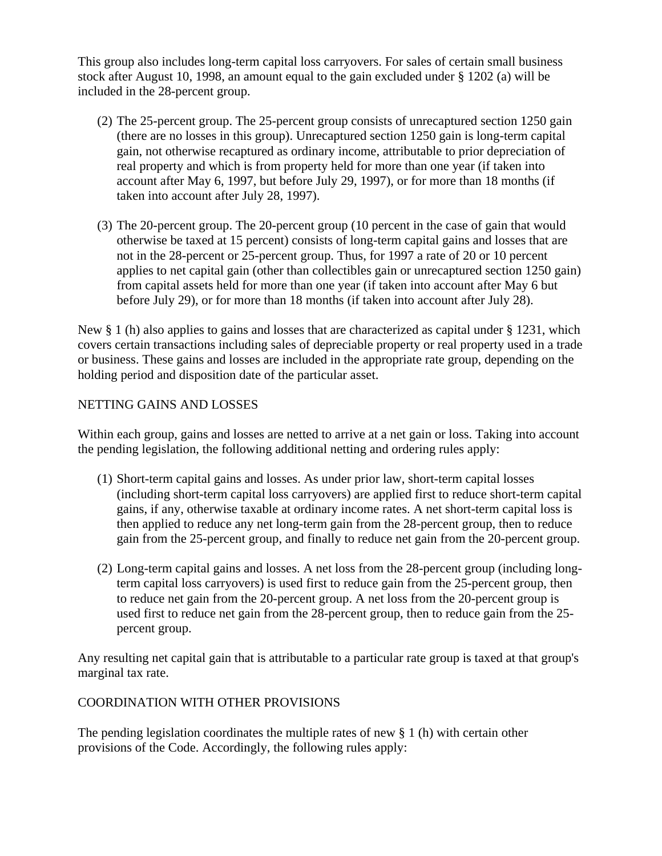This group also includes long-term capital loss carryovers. For sales of certain small business stock after August 10, 1998, an amount equal to the gain excluded under § 1202 (a) will be included in the 28-percent group.

- (2) The 25-percent group. The 25-percent group consists of unrecaptured section 1250 gain (there are no losses in this group). Unrecaptured section 1250 gain is long-term capital gain, not otherwise recaptured as ordinary income, attributable to prior depreciation of real property and which is from property held for more than one year (if taken into account after May 6, 1997, but before July 29, 1997), or for more than 18 months (if taken into account after July 28, 1997).
- (3) The 20-percent group. The 20-percent group (10 percent in the case of gain that would otherwise be taxed at 15 percent) consists of long-term capital gains and losses that are not in the 28-percent or 25-percent group. Thus, for 1997 a rate of 20 or 10 percent applies to net capital gain (other than collectibles gain or unrecaptured section 1250 gain) from capital assets held for more than one year (if taken into account after May 6 but before July 29), or for more than 18 months (if taken into account after July 28).

New § 1 (h) also applies to gains and losses that are characterized as capital under § 1231, which covers certain transactions including sales of depreciable property or real property used in a trade or business. These gains and losses are included in the appropriate rate group, depending on the holding period and disposition date of the particular asset.

## NETTING GAINS AND LOSSES

Within each group, gains and losses are netted to arrive at a net gain or loss. Taking into account the pending legislation, the following additional netting and ordering rules apply:

- (1) Short-term capital gains and losses. As under prior law, short-term capital losses (including short-term capital loss carryovers) are applied first to reduce short-term capital gains, if any, otherwise taxable at ordinary income rates. A net short-term capital loss is then applied to reduce any net long-term gain from the 28-percent group, then to reduce gain from the 25-percent group, and finally to reduce net gain from the 20-percent group.
- (2) Long-term capital gains and losses. A net loss from the 28-percent group (including longterm capital loss carryovers) is used first to reduce gain from the 25-percent group, then to reduce net gain from the 20-percent group. A net loss from the 20-percent group is used first to reduce net gain from the 28-percent group, then to reduce gain from the 25 percent group.

Any resulting net capital gain that is attributable to a particular rate group is taxed at that group's marginal tax rate.

## COORDINATION WITH OTHER PROVISIONS

The pending legislation coordinates the multiple rates of new § 1 (h) with certain other provisions of the Code. Accordingly, the following rules apply: